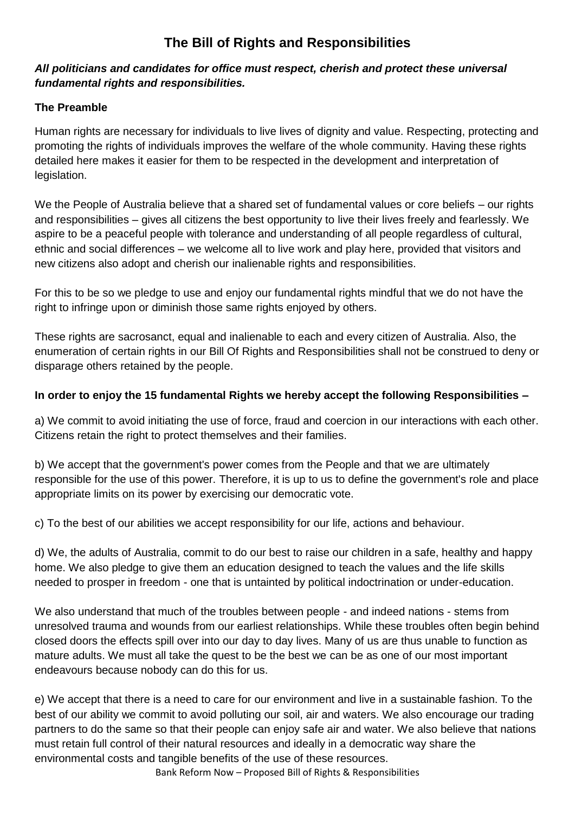# **The Bill of Rights and Responsibilities**

## *All politicians and candidates for office must respect, cherish and protect these universal fundamental rights and responsibilities.*

## **The Preamble**

Human rights are necessary for individuals to live lives of dignity and value. Respecting, protecting and promoting the rights of individuals improves the welfare of the whole community. Having these rights detailed here makes it easier for them to be respected in the development and interpretation of legislation.

We the People of Australia believe that a shared set of fundamental values or core beliefs – our rights and responsibilities – gives all citizens the best opportunity to live their lives freely and fearlessly. We aspire to be a peaceful people with tolerance and understanding of all people regardless of cultural, ethnic and social differences – we welcome all to live work and play here, provided that visitors and new citizens also adopt and cherish our inalienable rights and responsibilities.

For this to be so we pledge to use and enjoy our fundamental rights mindful that we do not have the right to infringe upon or diminish those same rights enjoyed by others.

These rights are sacrosanct, equal and inalienable to each and every citizen of Australia. Also, the enumeration of certain rights in our Bill Of Rights and Responsibilities shall not be construed to deny or disparage others retained by the people.

## **In order to enjoy the 15 fundamental Rights we hereby accept the following Responsibilities –**

a) We commit to avoid initiating the use of force, fraud and coercion in our interactions with each other. Citizens retain the right to protect themselves and their families.

b) We accept that the government's power comes from the People and that we are ultimately responsible for the use of this power. Therefore, it is up to us to define the government's role and place appropriate limits on its power by exercising our democratic vote.

c) To the best of our abilities we accept responsibility for our life, actions and behaviour.

d) We, the adults of Australia, commit to do our best to raise our children in a safe, healthy and happy home. We also pledge to give them an education designed to teach the values and the life skills needed to prosper in freedom - one that is untainted by political indoctrination or under-education.

We also understand that much of the troubles between people - and indeed nations - stems from unresolved trauma and wounds from our earliest relationships. While these troubles often begin behind closed doors the effects spill over into our day to day lives. Many of us are thus unable to function as mature adults. We must all take the quest to be the best we can be as one of our most important endeavours because nobody can do this for us.

e) We accept that there is a need to care for our environment and live in a sustainable fashion. To the best of our ability we commit to avoid polluting our soil, air and waters. We also encourage our trading partners to do the same so that their people can enjoy safe air and water. We also believe that nations must retain full control of their natural resources and ideally in a democratic way share the environmental costs and tangible benefits of the use of these resources.

Bank Reform Now – Proposed Bill of Rights & Responsibilities